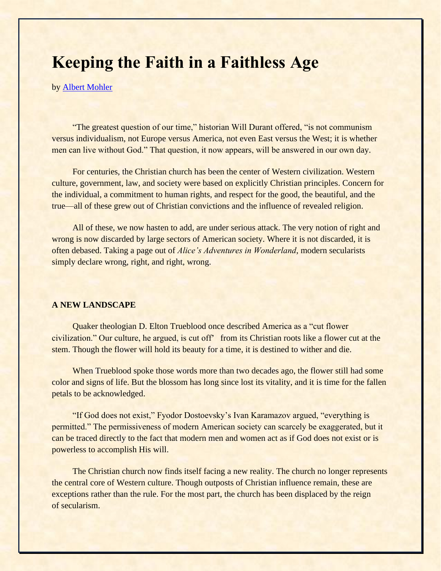## **Keeping the Faith in a Faithless Age**

by [Albert Mohler](https://www.ligonier.org/learn/teachers/albert-mohler/)

"The greatest question of our time," historian Will Durant offered, "is not communism versus individualism, not Europe versus America, not even East versus the West; it is whether men can live without God." That question, it now appears, will be answered in our own day.

For centuries, the Christian church has been the center of Western civilization. Western culture, government, law, and society were based on explicitly Christian principles. Concern for the individual, a commitment to human rights, and respect for the good, the beautiful, and the true—all of these grew out of Christian convictions and the influence of revealed religion.

All of these, we now hasten to add, are under serious attack. The very notion of right and wrong is now discarded by large sectors of American society. Where it is not discarded, it is often debased. Taking a page out of *Alice's Adventures in Wonderland*, modern secularists simply declare wrong, right, and right, wrong.

## **A NEW LANDSCAPE**

Quaker theologian D. Elton Trueblood once described America as a "cut flower civilization." Our culture, he argued, is cut off' from its Christian roots like a flower cut at the stem. Though the flower will hold its beauty for a time, it is destined to wither and die.

When Trueblood spoke those words more than two decades ago, the flower still had some color and signs of life. But the blossom has long since lost its vitality, and it is time for the fallen petals to be acknowledged.

"If God does not exist," Fyodor Dostoevsky's Ivan Karamazov argued, "everything is permitted." The permissiveness of modern American society can scarcely be exaggerated, but it can be traced directly to the fact that modern men and women act as if God does not exist or is powerless to accomplish His will.

The Christian church now finds itself facing a new reality. The church no longer represents the central core of Western culture. Though outposts of Christian influence remain, these are exceptions rather than the rule. For the most part, the church has been displaced by the reign of secularism.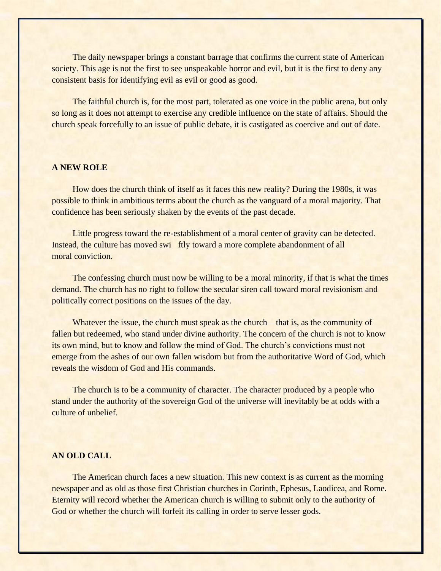The daily newspaper brings a constant barrage that confirms the current state of American society. This age is not the first to see unspeakable horror and evil, but it is the first to deny any consistent basis for identifying evil as evil or good as good.

The faithful church is, for the most part, tolerated as one voice in the public arena, but only so long as it does not attempt to exercise any credible influence on the state of affairs. Should the church speak forcefully to an issue of public debate, it is castigated as coercive and out of date.

## **A NEW ROLE**

How does the church think of itself as it faces this new reality? During the 1980s, it was possible to think in ambitious terms about the church as the vanguard of a moral majority. That confidence has been seriously shaken by the events of the past decade.

Little progress toward the re-establishment of a moral center of gravity can be detected. Instead, the culture has moved swi ftly toward a more complete abandonment of all moral conviction.

The confessing church must now be willing to be a moral minority, if that is what the times demand. The church has no right to follow the secular siren call toward moral revisionism and politically correct positions on the issues of the day.

Whatever the issue, the church must speak as the church—that is, as the community of fallen but redeemed, who stand under divine authority. The concern of the church is not to know its own mind, but to know and follow the mind of God. The church's convictions must not emerge from the ashes of our own fallen wisdom but from the authoritative Word of God, which reveals the wisdom of God and His commands.

The church is to be a community of character. The character produced by a people who stand under the authority of the sovereign God of the universe will inevitably be at odds with a culture of unbelief.

## **AN OLD CALL**

The American church faces a new situation. This new context is as current as the morning newspaper and as old as those first Christian churches in Corinth, Ephesus, Laodicea, and Rome. Eternity will record whether the American church is willing to submit only to the authority of God or whether the church will forfeit its calling in order to serve lesser gods.